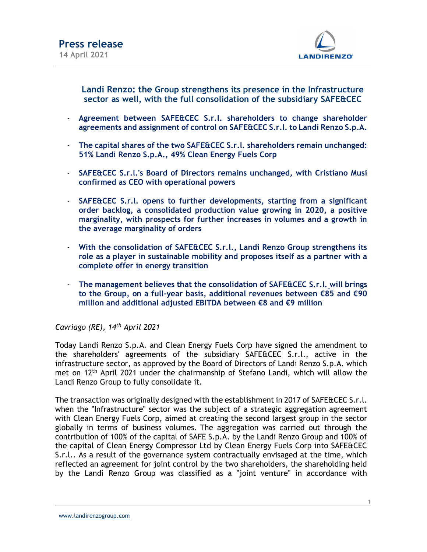

Landi Renzo: the Group strengthens its presence in the Infrastructure sector as well, with the full consolidation of the subsidiary SAFE&CEC

- Agreement between SAFE&CEC S.r.l. shareholders to change shareholder agreements and assignment of control on SAFE&CEC S.r.l. to Landi Renzo S.p.A.
- The capital shares of the two SAFE&CEC S.r.l. shareholders remain unchanged: 51% Landi Renzo S.p.A., 49% Clean Energy Fuels Corp
- SAFE&CEC S.r.l.'s Board of Directors remains unchanged, with Cristiano Musi confirmed as CEO with operational powers
- SAFE&CEC S.r.l. opens to further developments, starting from a significant order backlog, a consolidated production value growing in 2020, a positive marginality, with prospects for further increases in volumes and a growth in the average marginality of orders
- With the consolidation of SAFE&CEC S.r.l., Landi Renzo Group strengthens its role as a player in sustainable mobility and proposes itself as a partner with a complete offer in energy transition
- The management believes that the consolidation of SAFE&CEC S.r.l. will brings to the Group, on a full-year basis, additional revenues between €85 and €90 million and additional adjusted EBITDA between €8 and €9 million

Cavriago (RE), 14th April 2021

Today Landi Renzo S.p.A. and Clean Energy Fuels Corp have signed the amendment to the shareholders' agreements of the subsidiary SAFE&CEC S.r.l., active in the infrastructure sector, as approved by the Board of Directors of Landi Renzo S.p.A. which met on 12th April 2021 under the chairmanship of Stefano Landi, which will allow the Landi Renzo Group to fully consolidate it.

The transaction was originally designed with the establishment in 2017 of SAFE&CEC S.r.l. when the "Infrastructure" sector was the subject of a strategic aggregation agreement with Clean Energy Fuels Corp, aimed at creating the second largest group in the sector globally in terms of business volumes. The aggregation was carried out through the contribution of 100% of the capital of SAFE S.p.A. by the Landi Renzo Group and 100% of the capital of Clean Energy Compressor Ltd by Clean Energy Fuels Corp into SAFE&CEC S.r.l.. As a result of the governance system contractually envisaged at the time, which reflected an agreement for joint control by the two shareholders, the shareholding held by the Landi Renzo Group was classified as a "joint venture" in accordance with